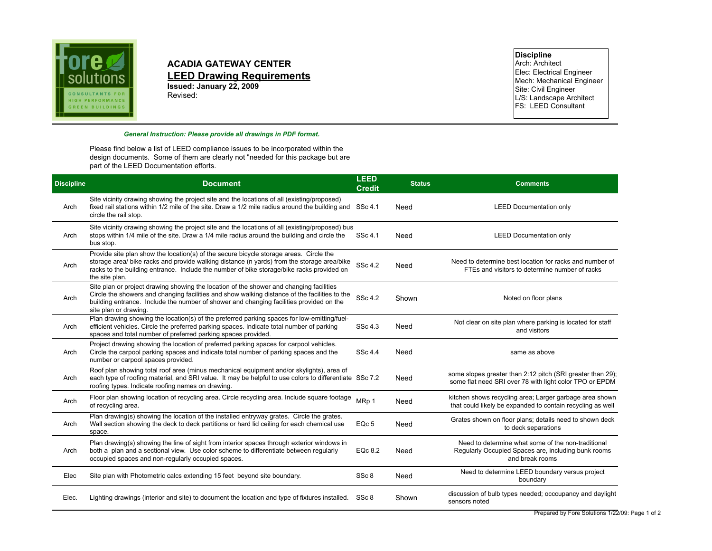

## **ACADIA GATEWAY CENTER LEED Drawing Requirements**

**Issued: January 22, 2009** Revised:

## **Discipline** Arch: Architect Elec: Electrical Engineer Mech: Mechanical Engineer Site: Civil Engineer

L/S: Landscape Architect **FS: LEED Consultant** 

## *General Instruction: Please provide all drawings in PDF format.*

Please find below a list of LEED compliance issues to be incorporated within the design documents. Some of them are clearly not "needed for this package but are part of the LEED Documentation efforts.

| <b>Discipline</b> | <b>Document</b>                                                                                                                                                                                                                                                                                              | <b>LEED</b><br><b>Credit</b> | <b>Status</b> | <b>Comments</b>                                                                                                              |
|-------------------|--------------------------------------------------------------------------------------------------------------------------------------------------------------------------------------------------------------------------------------------------------------------------------------------------------------|------------------------------|---------------|------------------------------------------------------------------------------------------------------------------------------|
| Arch              | Site vicinity drawing showing the project site and the locations of all (existing/proposed)<br>fixed rail stations within 1/2 mile of the site. Draw a 1/2 mile radius around the building and SSc 4.1<br>circle the rail stop.                                                                              |                              | Need          | <b>LEED Documentation only</b>                                                                                               |
| Arch              | Site vicinity drawing showing the project site and the locations of all (existing/proposed) bus<br>stops within 1/4 mile of the site. Draw a 1/4 mile radius around the building and circle the<br>bus stop.                                                                                                 | SSc 4.1                      | Need          | <b>LEED Documentation only</b>                                                                                               |
| Arch              | Provide site plan show the location(s) of the secure bicycle storage areas. Circle the<br>storage area/ bike racks and provide walking distance (n yards) from the storage area/bike<br>racks to the building entrance. Include the number of bike storage/bike racks provided on<br>the site plan.          | SSc 4.2                      | Need          | Need to determine best location for racks and number of<br>FTEs and visitors to determine number of racks                    |
| Arch              | Site plan or project drawing showing the location of the shower and changing facilities<br>Circle the showers and changing facilities and show walking distance of the facilities to the<br>building entrance. Include the number of shower and changing facilities provided on the<br>site plan or drawing. | SSc 4.2                      | Shown         | Noted on floor plans                                                                                                         |
| Arch              | Plan drawing showing the location(s) of the preferred parking spaces for low-emitting/fuel-<br>efficient vehicles. Circle the preferred parking spaces. Indicate total number of parking<br>spaces and total number of preferred parking spaces provided.                                                    | SSc 4.3                      | Need          | Not clear on site plan where parking is located for staff<br>and visitors                                                    |
| Arch              | Project drawing showing the location of preferred parking spaces for carpool vehicles.<br>Circle the carpool parking spaces and indicate total number of parking spaces and the<br>number or carpool spaces provided.                                                                                        | SSc 4.4                      | Need          | same as above                                                                                                                |
| Arch              | Roof plan showing total roof area (minus mechanical equipment and/or skylights), area of<br>each type of roofing material, and SRI value. It may be helpful to use colors to differentiate SSc 7.2<br>roofing types. Indicate roofing names on drawing.                                                      |                              | Need          | some slopes greater than 2:12 pitch (SRI greater than 29);<br>some flat need SRI over 78 with light color TPO or EPDM        |
| Arch              | Floor plan showing location of recycling area. Circle recycling area. Include square footage<br>of recycling area.                                                                                                                                                                                           | MRp 1                        | Need          | kitchen shows recycling area; Larger garbage area shown<br>that could likely be expanded to contain recycling as well        |
| Arch              | Plan drawing(s) showing the location of the installed entryway grates. Circle the grates.<br>Wall section showing the deck to deck partitions or hard lid ceiling for each chemical use<br>space.                                                                                                            | EQc <sub>5</sub>             | Need          | Grates shown on floor plans; details need to shown deck<br>to deck separations                                               |
| Arch              | Plan drawing(s) showing the line of sight from interior spaces through exterior windows in<br>both a plan and a sectional view. Use color scheme to differentiate between regularly<br>occupied spaces and non-regularly occupied spaces.                                                                    | EQc 8.2                      | Need          | Need to determine what some of the non-traditional<br>Regularly Occupied Spaces are, including bunk rooms<br>and break rooms |
| Elec              | Site plan with Photometric calcs extending 15 feet beyond site boundary.                                                                                                                                                                                                                                     | SSc 8                        | Need          | Need to determine LEED boundary versus project<br>boundary                                                                   |
| Elec.             | Lighting drawings (interior and site) to document the location and type of fixtures installed.                                                                                                                                                                                                               | SSc 8                        | Shown         | discussion of bulb types needed; occcupancy and daylight<br>sensors noted                                                    |